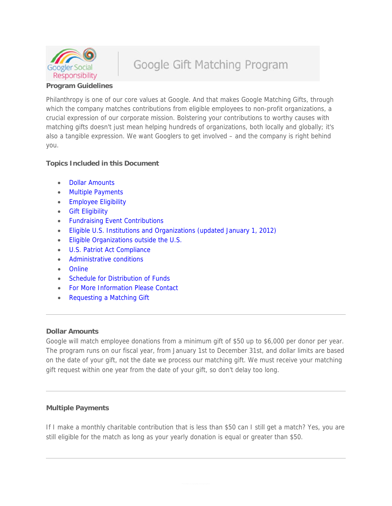

# Google Gift Matching Program

## **Program Guidelines**

Philanthropy is one of our core values at Google. And that makes Google Matching Gifts, through which the company matches contributions from eligible employees to non-profit organizations, a crucial expression of our corporate mission. Bolstering your contributions to worthy causes with matching gifts doesn't just mean helping hundreds of organizations, both locally and globally; it's also a tangible expression. We want Googlers to get involved – and the company is right behind you.

## **Topics Included in this Document**

- Dollar Amounts
- Multiple Payments
- **Employee Eligibility**
- Gift Eligibility
- Fundraising Event Contributions
- Eligible U.S. Institutions and Organizations (updated January 1, 2012)
- **Eligible Organizations outside the U.S.**
- U.S. Patriot Act Compliance
- Administrative conditions
- Online
- Schedule for Distribution of Funds
- For More Information Please Contact
- Requesting a Matching Gift

#### **Dollar Amounts**

Google will match employee donations from a minimum gift of \$50 up to \$6,000 per donor per year. The program runs on our fiscal year, from January 1st to December 31st, and dollar limits are based on the date of your gift, not the date we process our matching gift. We must receive your matching gift request within one year from the date of your gift, so don't delay too long.

## **Multiple Payments**

If I make a monthly charitable contribution that is less than \$50 can I still get a match? Yes, you are still eligible for the match as long as your yearly donation is equal or greater than \$50.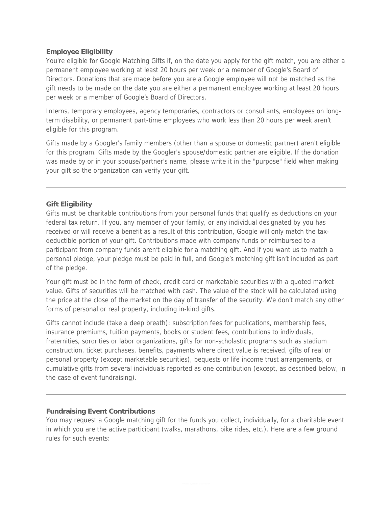#### **Employee Eligibility**

You're eligible for Google Matching Gifts if, on the date you apply for the gift match, you are either a permanent employee working at least 20 hours per week or a member of Google's Board of Directors. Donations that are made before you are a Google employee will not be matched as the gift needs to be made on the date you are either a permanent employee working at least 20 hours per week or a member of Google's Board of Directors.

Interns, temporary employees, agency temporaries, contractors or consultants, employees on longterm disability, or permanent part-time employees who work less than 20 hours per week aren't eligible for this program.

Gifts made by a Googler's family members (other than a spouse or domestic partner) aren't eligible for this program. Gifts made by the Googler's spouse/domestic partner are eligible. If the donation was made by or in your spouse/partner's name, please write it in the "purpose" field when making your gift so the organization can verify your gift.

## **Gift Eligibility**

Gifts must be charitable contributions from your personal funds that qualify as deductions on your federal tax return. If you, any member of your family, or any individual designated by you has received or will receive a benefit as a result of this contribution, Google will only match the taxdeductible portion of your gift. Contributions made with company funds or reimbursed to a participant from company funds aren't eligible for a matching gift. And if you want us to match a personal pledge, your pledge must be paid in full, and Google's matching gift isn't included as part of the pledge.

Your gift must be in the form of check, credit card or marketable securities with a quoted market value. Gifts of securities will be matched with cash. The value of the stock will be calculated using the price at the close of the market on the day of transfer of the security. We don't match any other forms of personal or real property, including in-kind gifts.

Gifts cannot include (take a deep breath): subscription fees for publications, membership fees, insurance premiums, tuition payments, books or student fees, contributions to individuals, fraternities, sororities or labor organizations, gifts for non-scholastic programs such as stadium construction, ticket purchases, benefits, payments where direct value is received, gifts of real or personal property (except marketable securities), bequests or life income trust arrangements, or cumulative gifts from several individuals reported as one contribution (except, as described below, in the case of event fundraising).

## **Fundraising Event Contributions**

You may request a Google matching gift for the funds you collect, individually, for a charitable event in which you are the active participant (walks, marathons, bike rides, etc.). Here are a few ground rules for such events: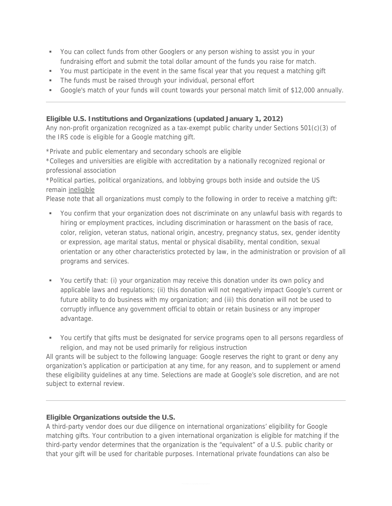- You can collect funds from other Googlers or any person wishing to assist you in your fundraising effort and submit the total dollar amount of the funds you raise for match.
- You must participate in the event in the same fiscal year that you request a matching gift
- The funds must be raised through your individual, personal effort
- Google's match of your funds will count towards your personal match limit of \$12,000 annually.

## **Eligible U.S. Institutions and Organizations (updated January 1, 2012)**

Any non-profit organization recognized as a tax-exempt public charity under Sections 501(c)(3) of the IRS code is eligible for a Google matching gift.

\*Private and public elementary and secondary schools are eligible

\*Colleges and universities are eligible with accreditation by a nationally recognized regional or professional association

\*Political parties, political organizations, and lobbying groups both inside and outside the US remain ineligible

Please note that all organizations must comply to the following in order to receive a matching gift:

- You confirm that your organization does not discriminate on any unlawful basis with regards to hiring or employment practices, including discrimination or harassment on the basis of race, color, religion, veteran status, national origin, ancestry, pregnancy status, sex, gender identity or expression, age marital status, mental or physical disability, mental condition, sexual orientation or any other characteristics protected by law, in the administration or provision of all programs and services.
- You certify that: (i) your organization may receive this donation under its own policy and applicable laws and regulations; (ii) this donation will not negatively impact Google's current or future ability to do business with my organization; and (iii) this donation will not be used to corruptly influence any government official to obtain or retain business or any improper advantage.

 You certify that gifts must be designated for service programs open to all persons regardless of religion, and may not be used primarily for religious instruction

All grants will be subject to the following language: Google reserves the right to grant or deny any organization's application or participation at any time, for any reason, and to supplement or amend these eligibility guidelines at any time. Selections are made at Google's sole discretion, and are not subject to external review.

## **Eligible Organizations outside the U.S.**

A third-party vendor does our due diligence on international organizations' eligibility for Google matching gifts. Your contribution to a given international organization is eligible for matching if the third-party vendor determines that the organization is the "equivalent" of a U.S. public charity or that your gift will be used for charitable purposes. International private foundations can also be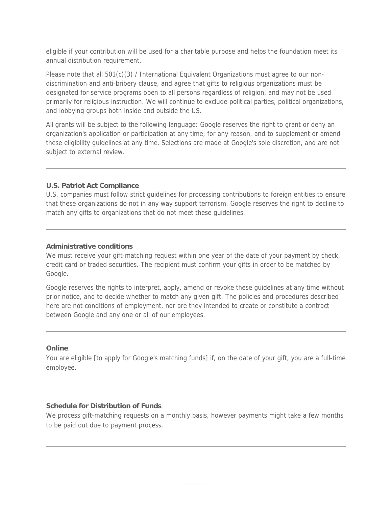eligible if your contribution will be used for a charitable purpose and helps the foundation meet its annual distribution requirement.

Please note that all 501(c)(3) / International Equivalent Organizations must agree to our nondiscrimination and anti-bribery clause, and agree that gifts to religious organizations must be designated for service programs open to all persons regardless of religion, and may not be used primarily for religious instruction. We will continue to exclude political parties, political organizations, and lobbying groups both inside and outside the US.

All grants will be subject to the following language: Google reserves the right to grant or deny an organization's application or participation at any time, for any reason, and to supplement or amend these eligibility guidelines at any time. Selections are made at Google's sole discretion, and are not subject to external review.

#### **U.S. Patriot Act Compliance**

U.S. companies must follow strict guidelines for processing contributions to foreign entities to ensure that these organizations do not in any way support terrorism. Google reserves the right to decline to match any gifts to organizations that do not meet these guidelines.

#### **Administrative conditions**

We must receive your gift-matching request within one year of the date of your payment by check, credit card or traded securities. The recipient must confirm your gifts in order to be matched by Google.

Google reserves the rights to interpret, apply, amend or revoke these guidelines at any time without prior notice, and to decide whether to match any given gift. The policies and procedures described here are not conditions of employment, nor are they intended to create or constitute a contract between Google and any one or all of our employees.

#### **Online**

You are eligible [to apply for Google's matching funds] if, on the date of your gift, you are a full-time employee.

#### **Schedule for Distribution of Funds**

We process gift-matching requests on a monthly basis, however payments might take a few months to be paid out due to payment process.